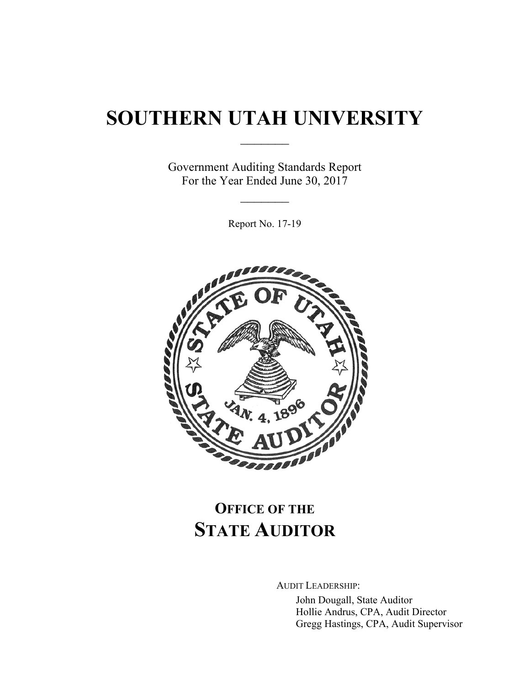# **SOUTHERN UTAH UNIVERSITY**

 $\frac{1}{2}$ 

Government Auditing Standards Report For the Year Ended June 30, 2017

 $\frac{1}{2}$ 

Report No. 17-19



# **OFFICE OF THE STATE AUDITOR**

AUDIT LEADERSHIP:

John Dougall, State Auditor Hollie Andrus, CPA, Audit Director Gregg Hastings, CPA, Audit Supervisor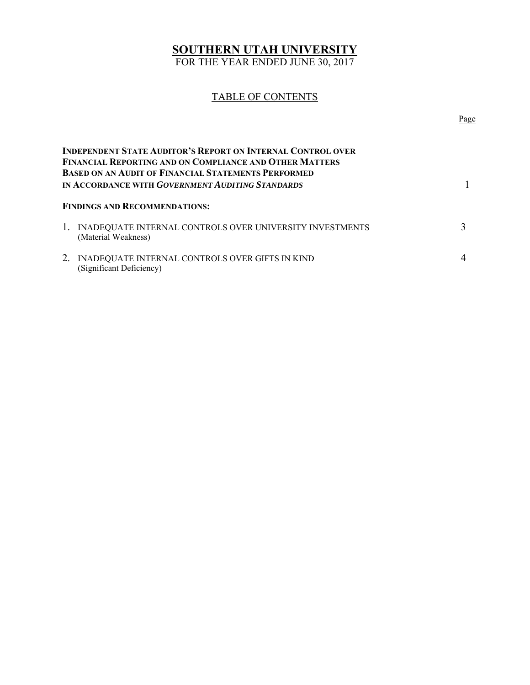# **SOUTHERN UTAH UNIVERSITY**

FOR THE YEAR ENDED JUNE 30, 2017

# TABLE OF CONTENTS

| <b>INDEPENDENT STATE AUDITOR'S REPORT ON INTERNAL CONTROL OVER</b><br><b>FINANCIAL REPORTING AND ON COMPLIANCE AND OTHER MATTERS</b><br><b>BASED ON AN AUDIT OF FINANCIAL STATEMENTS PERFORMED</b><br>IN ACCORDANCE WITH GOVERNMENT AUDITING STANDARDS |                                                                                    |  |
|--------------------------------------------------------------------------------------------------------------------------------------------------------------------------------------------------------------------------------------------------------|------------------------------------------------------------------------------------|--|
| <b>FINDINGS AND RECOMMENDATIONS:</b>                                                                                                                                                                                                                   |                                                                                    |  |
|                                                                                                                                                                                                                                                        | 1. INADEQUATE INTERNAL CONTROLS OVER UNIVERSITY INVESTMENTS<br>(Material Weakness) |  |
|                                                                                                                                                                                                                                                        | INADEQUATE INTERNAL CONTROLS OVER GIFTS IN KIND<br>(Significant Deficiency)        |  |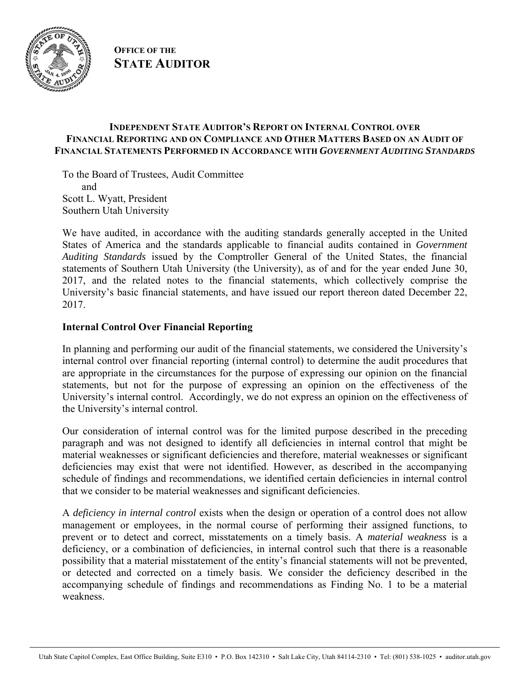

**OFFICE OF THE STATE AUDITOR**

# **INDEPENDENT STATE AUDITOR'S REPORT ON INTERNAL CONTROL OVER FINANCIAL REPORTING AND ON COMPLIANCE AND OTHER MATTERS BASED ON AN AUDIT OF FINANCIAL STATEMENTS PERFORMED IN ACCORDANCE WITH** *GOVERNMENT AUDITING STANDARDS*

To the Board of Trustees, Audit Committee and Scott L. Wyatt, President Southern Utah University

We have audited, in accordance with the auditing standards generally accepted in the United States of America and the standards applicable to financial audits contained in *Government Auditing Standards* issued by the Comptroller General of the United States, the financial statements of Southern Utah University (the University), as of and for the year ended June 30, 2017, and the related notes to the financial statements, which collectively comprise the University's basic financial statements, and have issued our report thereon dated December 22, 2017.

# **Internal Control Over Financial Reporting**

In planning and performing our audit of the financial statements, we considered the University's internal control over financial reporting (internal control) to determine the audit procedures that are appropriate in the circumstances for the purpose of expressing our opinion on the financial statements, but not for the purpose of expressing an opinion on the effectiveness of the University's internal control. Accordingly, we do not express an opinion on the effectiveness of the University's internal control.

Our consideration of internal control was for the limited purpose described in the preceding paragraph and was not designed to identify all deficiencies in internal control that might be material weaknesses or significant deficiencies and therefore, material weaknesses or significant deficiencies may exist that were not identified. However, as described in the accompanying schedule of findings and recommendations, we identified certain deficiencies in internal control that we consider to be material weaknesses and significant deficiencies.

A *deficiency in internal control* exists when the design or operation of a control does not allow management or employees, in the normal course of performing their assigned functions, to prevent or to detect and correct, misstatements on a timely basis. A *material weakness* is a deficiency, or a combination of deficiencies, in internal control such that there is a reasonable possibility that a material misstatement of the entity's financial statements will not be prevented, or detected and corrected on a timely basis. We consider the deficiency described in the accompanying schedule of findings and recommendations as Finding No. 1 to be a material weakness.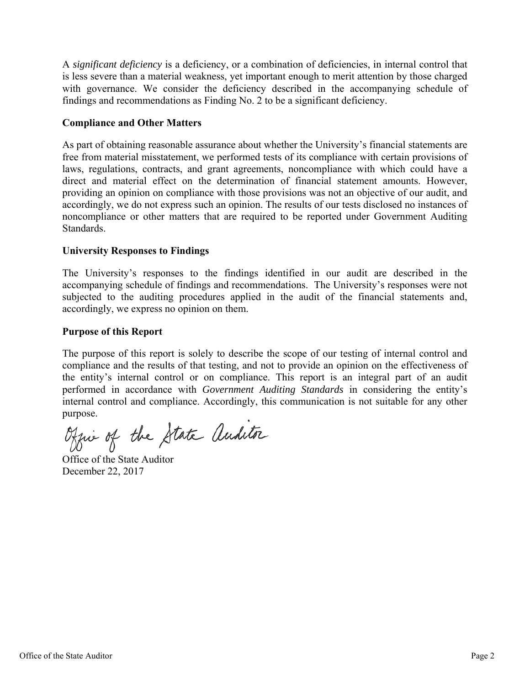A *significant deficiency* is a deficiency, or a combination of deficiencies, in internal control that is less severe than a material weakness, yet important enough to merit attention by those charged with governance. We consider the deficiency described in the accompanying schedule of findings and recommendations as Finding No. 2 to be a significant deficiency.

# **Compliance and Other Matters**

As part of obtaining reasonable assurance about whether the University's financial statements are free from material misstatement, we performed tests of its compliance with certain provisions of laws, regulations, contracts, and grant agreements, noncompliance with which could have a direct and material effect on the determination of financial statement amounts. However, providing an opinion on compliance with those provisions was not an objective of our audit, and accordingly, we do not express such an opinion. The results of our tests disclosed no instances of noncompliance or other matters that are required to be reported under Government Auditing Standards.

# **University Responses to Findings**

The University's responses to the findings identified in our audit are described in the accompanying schedule of findings and recommendations. The University's responses were not subjected to the auditing procedures applied in the audit of the financial statements and, accordingly, we express no opinion on them.

# **Purpose of this Report**

The purpose of this report is solely to describe the scope of our testing of internal control and compliance and the results of that testing, and not to provide an opinion on the effectiveness of the entity's internal control or on compliance. This report is an integral part of an audit performed in accordance with *Government Auditing Standards* in considering the entity's internal control and compliance. Accordingly, this communication is not suitable for any other purpose.

Office of the State auditor

Office of the State Auditor December 22, 2017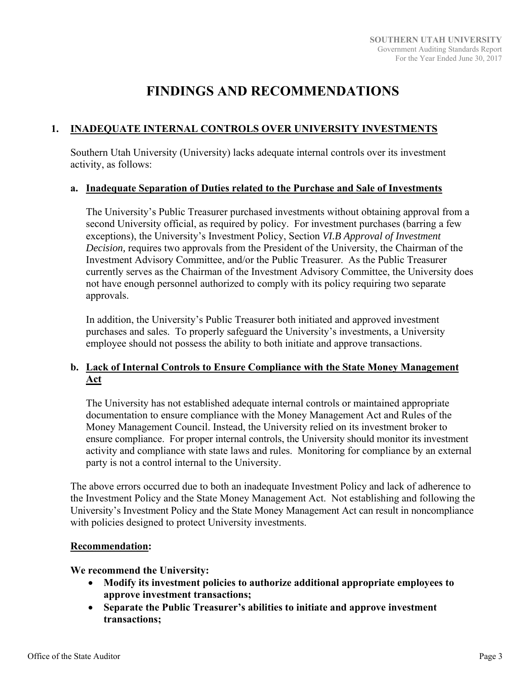# **FINDINGS AND RECOMMENDATIONS**

# **1. INADEQUATE INTERNAL CONTROLS OVER UNIVERSITY INVESTMENTS**

Southern Utah University (University) lacks adequate internal controls over its investment activity, as follows:

# **a. Inadequate Separation of Duties related to the Purchase and Sale of Investments**

The University's Public Treasurer purchased investments without obtaining approval from a second University official, as required by policy. For investment purchases (barring a few exceptions), the University's Investment Policy, Section *VI.B Approval of Investment Decision,* requires two approvals from the President of the University, the Chairman of the Investment Advisory Committee, and/or the Public Treasurer. As the Public Treasurer currently serves as the Chairman of the Investment Advisory Committee, the University does not have enough personnel authorized to comply with its policy requiring two separate approvals.

In addition, the University's Public Treasurer both initiated and approved investment purchases and sales. To properly safeguard the University's investments, a University employee should not possess the ability to both initiate and approve transactions.

# **b. Lack of Internal Controls to Ensure Compliance with the State Money Management Act**

The University has not established adequate internal controls or maintained appropriate documentation to ensure compliance with the Money Management Act and Rules of the Money Management Council. Instead, the University relied on its investment broker to ensure compliance. For proper internal controls, the University should monitor its investment activity and compliance with state laws and rules. Monitoring for compliance by an external party is not a control internal to the University.

The above errors occurred due to both an inadequate Investment Policy and lack of adherence to the Investment Policy and the State Money Management Act. Not establishing and following the University's Investment Policy and the State Money Management Act can result in noncompliance with policies designed to protect University investments.

### **Recommendation:**

### **We recommend the University:**

- **Modify its investment policies to authorize additional appropriate employees to approve investment transactions;**
- **Separate the Public Treasurer's abilities to initiate and approve investment transactions;**